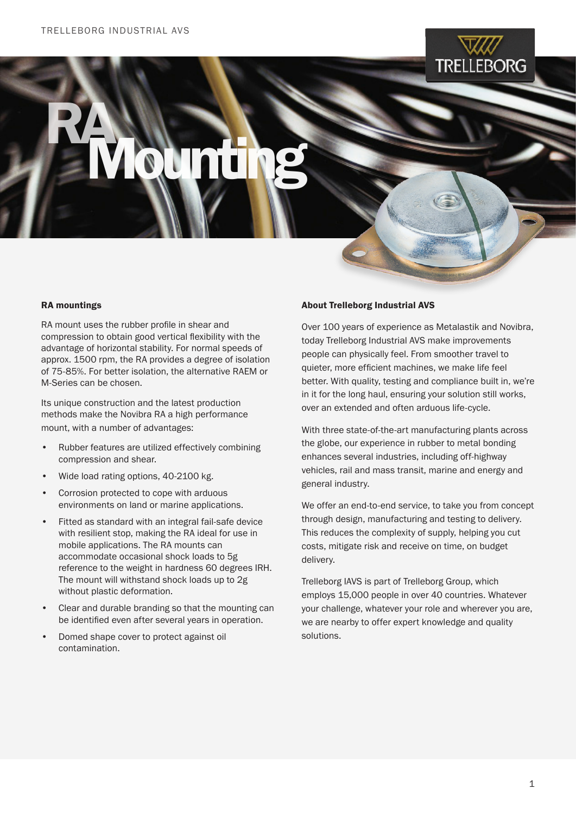

# RAMounting

## RA mountings

RA mount uses the rubber profile in shear and compression to obtain good vertical flexibility with the advantage of horizontal stability. For normal speeds of approx. 1500 rpm, the RA provides a degree of isolation of 75-85%. For better isolation, the alternative RAEM or M-Series can be chosen.

Its unique construction and the latest production methods make the Novibra RA a high performance mount, with a number of advantages:

- Rubber features are utilized effectively combining compression and shear.
- Wide load rating options, 40-2100 kg.
- Corrosion protected to cope with arduous environments on land or marine applications.
- Fitted as standard with an integral fail-safe device with resilient stop, making the RA ideal for use in mobile applications. The RA mounts can accommodate occasional shock loads to 5g reference to the weight in hardness 60 degrees IRH. The mount will withstand shock loads up to 2g without plastic deformation.
- Clear and durable branding so that the mounting can be identified even after several years in operation.
- Domed shape cover to protect against oil contamination.

### About Trelleborg Industrial AVS

Over 100 years of experience as Metalastik and Novibra, today Trelleborg Industrial AVS make improvements people can physically feel. From smoother travel to quieter, more efficient machines, we make life feel better. With quality, testing and compliance built in, we're in it for the long haul, ensuring your solution still works, over an extended and often arduous life-cycle.

With three state-of-the-art manufacturing plants across the globe, our experience in rubber to metal bonding enhances several industries, including off-highway vehicles, rail and mass transit, marine and energy and general industry.

We offer an end-to-end service, to take you from concept through design, manufacturing and testing to delivery. This reduces the complexity of supply, helping you cut costs, mitigate risk and receive on time, on budget delivery.

Trelleborg IAVS is part of Trelleborg Group, which employs 15,000 people in over 40 countries. Whatever your challenge, whatever your role and wherever you are, we are nearby to offer expert knowledge and quality solutions.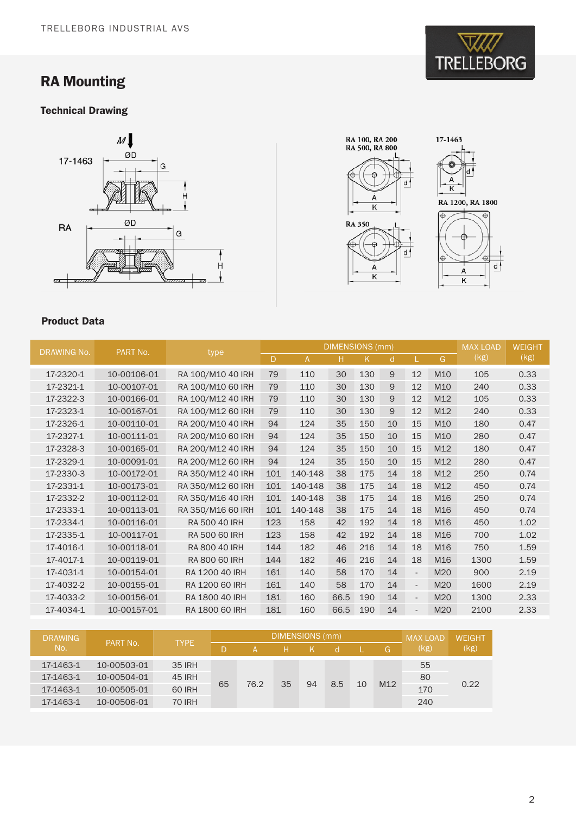# RA Mounting

# Technical Drawing





# Product Data

I

| <b>DRAWING No.</b> | PART No.    | type              |     | <b>DIMENSIONS</b> (mm) | <b>MAX LOAD</b> | <b>WEIGHT</b> |              |                          |                 |      |      |
|--------------------|-------------|-------------------|-----|------------------------|-----------------|---------------|--------------|--------------------------|-----------------|------|------|
|                    |             |                   | D   | A                      | н               | K             | <sub>d</sub> | L.                       | G               | (kg) | (kg) |
| 17-2320-1          | 10-00106-01 | RA 100/M10 40 IRH | 79  | 110                    | 30              | 130           | 9            | 12                       | M <sub>10</sub> | 105  | 0.33 |
| 17-2321-1          | 10-00107-01 | RA 100/M10 60 IRH | 79  | 110                    | 30              | 130           | 9            | 12                       | M10             | 240  | 0.33 |
| 17-2322-3          | 10-00166-01 | RA 100/M12 40 IRH | 79  | 110                    | 30              | 130           | 9            | 12                       | M12             | 105  | 0.33 |
| 17-2323-1          | 10-00167-01 | RA 100/M12 60 IRH | 79  | 110                    | 30              | 130           | 9            | 12                       | M12             | 240  | 0.33 |
| 17-2326-1          | 10-00110-01 | RA 200/M10 40 IRH | 94  | 124                    | 35              | 150           | 10           | 15                       | M10             | 180  | 0.47 |
| 17-2327-1          | 10-00111-01 | RA 200/M10 60 IRH | 94  | 124                    | 35              | 150           | 10           | 15                       | M10             | 280  | 0.47 |
| 17-2328-3          | 10-00165-01 | RA 200/M12 40 IRH | 94  | 124                    | 35              | 150           | 10           | 15                       | M12             | 180  | 0.47 |
| 17-2329-1          | 10-00091-01 | RA 200/M12 60 IRH | 94  | 124                    | 35              | 150           | 10           | 15                       | M12             | 280  | 0.47 |
| 17-2330-3          | 10-00172-01 | RA 350/M12 40 IRH | 101 | 140-148                | 38              | 175           | 14           | 18                       | M12             | 250  | 0.74 |
| 17-2331-1          | 10-00173-01 | RA 350/M12 60 IRH | 101 | 140-148                | 38              | 175           | 14           | 18                       | M <sub>12</sub> | 450  | 0.74 |
| 17-2332-2          | 10-00112-01 | RA 350/M16 40 IRH | 101 | 140-148                | 38              | 175           | 14           | 18                       | M16             | 250  | 0.74 |
| 17-2333-1          | 10-00113-01 | RA 350/M16 60 IRH | 101 | 140-148                | 38              | 175           | 14           | 18                       | M16             | 450  | 0.74 |
| 17-2334-1          | 10-00116-01 | RA 500 40 IRH     | 123 | 158                    | 42              | 192           | 14           | 18                       | M16             | 450  | 1.02 |
| 17-2335-1          | 10-00117-01 | RA 500 60 IRH     | 123 | 158                    | 42              | 192           | 14           | 18                       | M16             | 700  | 1.02 |
| 17-4016-1          | 10-00118-01 | RA 800 40 IRH     | 144 | 182                    | 46              | 216           | 14           | 18                       | M <sub>16</sub> | 750  | 1.59 |
| 17-4017-1          | 10-00119-01 | RA 800 60 IRH     | 144 | 182                    | 46              | 216           | 14           | 18                       | M16             | 1300 | 1.59 |
| 17-4031-1          | 10-00154-01 | RA 1200 40 IRH    | 161 | 140                    | 58              | 170           | 14           | $\overline{\phantom{a}}$ | M20             | 900  | 2.19 |
| 17-4032-2          | 10-00155-01 | RA 1200 60 IRH    | 161 | 140                    | 58              | 170           | 14           | $\overline{\phantom{a}}$ | M20             | 1600 | 2.19 |
| 17-4033-2          | 10-00156-01 | RA 1800 40 IRH    | 181 | 160                    | 66.5            | 190           | 14           | $\blacksquare$           | M20             | 1300 | 2.33 |
| 17-4034-1          | 10-00157-01 | RA 1800 60 IRH    | 181 | 160                    | 66.5            | 190           | 14           |                          | M20             | 2100 | 2.33 |

| <b>DRAWING</b><br>No. | PART No.    | <b>TYPE</b>   |    | <b>DIMENSIONS (mm)</b> | <b>MAX LOAD</b> | <b>WEIGHT</b> |     |    |                 |      |      |
|-----------------------|-------------|---------------|----|------------------------|-----------------|---------------|-----|----|-----------------|------|------|
|                       |             |               |    |                        |                 |               |     |    | G.              | (kg) | (kg) |
| 17-1463-1             | 10-00503-01 | <b>35 IRH</b> | 65 | 76.2                   | 35              | 94            | 8.5 | 10 | M <sub>12</sub> | 55   | 0.22 |
| 17-1463-1             | 10-00504-01 | <b>45 IRH</b> |    |                        |                 |               |     |    |                 | 80   |      |
| 17-1463-1             | 10-00505-01 | <b>60 IRH</b> |    |                        |                 |               |     |    |                 | 170  |      |
| 17-1463-1             | 10-00506-01 | <b>70 IRH</b> |    |                        |                 |               |     |    |                 | 240  |      |